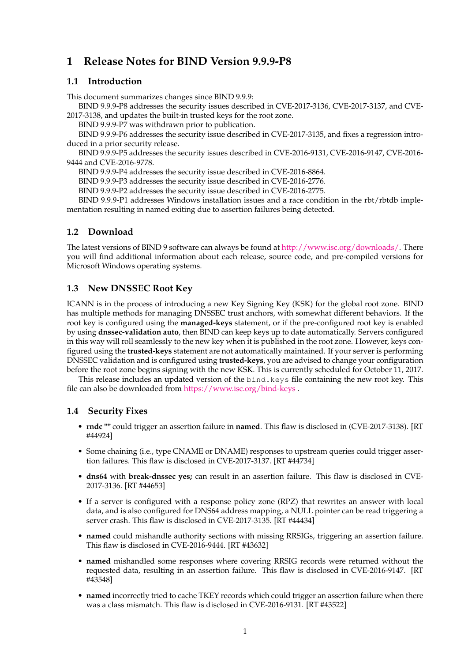# **1 Release Notes for BIND Version 9.9.9-P8**

#### **1.1 Introduction**

This document summarizes changes since BIND 9.9.9:

BIND 9.9.9-P8 addresses the security issues described in CVE-2017-3136, CVE-2017-3137, and CVE-2017-3138, and updates the built-in trusted keys for the root zone.

BIND 9.9.9-P7 was withdrawn prior to publication.

BIND 9.9.9-P6 addresses the security issue described in CVE-2017-3135, and fixes a regression introduced in a prior security release.

BIND 9.9.9-P5 addresses the security issues described in CVE-2016-9131, CVE-2016-9147, CVE-2016- 9444 and CVE-2016-9778.

BIND 9.9.9-P4 addresses the security issue described in CVE-2016-8864.

BIND 9.9.9-P3 addresses the security issue described in CVE-2016-2776.

BIND 9.9.9-P2 addresses the security issue described in CVE-2016-2775.

BIND 9.9.9-P1 addresses Windows installation issues and a race condition in the rbt/rbtdb implementation resulting in named exiting due to assertion failures being detected.

# **1.2 Download**

The latest versions of BIND 9 software can always be found at [http://www.isc.org/downloads/.](http://www.isc.org/downloads/) There you will find additional information about each release, source code, and pre-compiled versions for Microsoft Windows operating systems.

# **1.3 New DNSSEC Root Key**

ICANN is in the process of introducing a new Key Signing Key (KSK) for the global root zone. BIND has multiple methods for managing DNSSEC trust anchors, with somewhat different behaviors. If the root key is configured using the **managed-keys** statement, or if the pre-configured root key is enabled by using **dnssec-validation auto**, then BIND can keep keys up to date automatically. Servers configured in this way will roll seamlessly to the new key when it is published in the root zone. However, keys configured using the **trusted-keys** statement are not automatically maintained. If your server is performing DNSSEC validation and is configured using **trusted-keys**, you are advised to change your configuration before the root zone begins signing with the new KSK. This is currently scheduled for October 11, 2017.

This release includes an updated version of the bind.keys file containing the new root key. This file can also be downloaded from <https://www.isc.org/bind-keys> .

#### **1.4 Security Fixes**

- **rndc ""** could trigger an assertion failure in **named**. This flaw is disclosed in (CVE-2017-3138). [RT #44924]
- Some chaining (i.e., type CNAME or DNAME) responses to upstream queries could trigger assertion failures. This flaw is disclosed in CVE-2017-3137. [RT #44734]
- **dns64** with **break-dnssec yes;** can result in an assertion failure. This flaw is disclosed in CVE-2017-3136. [RT #44653]
- If a server is configured with a response policy zone (RPZ) that rewrites an answer with local data, and is also configured for DNS64 address mapping, a NULL pointer can be read triggering a server crash. This flaw is disclosed in CVE-2017-3135. [RT #44434]
- **named** could mishandle authority sections with missing RRSIGs, triggering an assertion failure. This flaw is disclosed in CVE-2016-9444. [RT #43632]
- **named** mishandled some responses where covering RRSIG records were returned without the requested data, resulting in an assertion failure. This flaw is disclosed in CVE-2016-9147. [RT #43548]
- **named** incorrectly tried to cache TKEY records which could trigger an assertion failure when there was a class mismatch. This flaw is disclosed in CVE-2016-9131. [RT #43522]